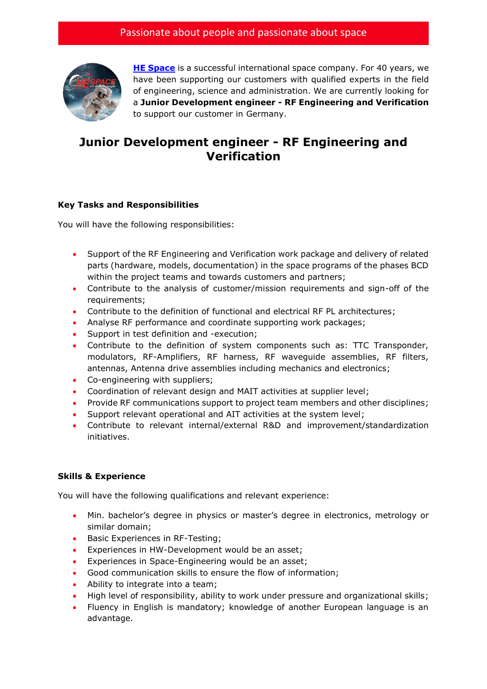

**[HE Space](http://www.hespace.com/)** is a successful international space company. For 40 years, we have been supporting our customers with qualified experts in the field of engineering, science and administration. We are currently looking for a **Junior Development engineer - RF Engineering and Verification** to support our customer in Germany.

## **Junior Development engineer - RF Engineering and Verification**

## **Key Tasks and Responsibilities**

You will have the following responsibilities:

- Support of the RF Engineering and Verification work package and delivery of related parts (hardware, models, documentation) in the space programs of the phases BCD within the project teams and towards customers and partners;
- Contribute to the analysis of customer/mission requirements and sign-off of the requirements;
- Contribute to the definition of functional and electrical RF PL architectures;
- Analyse RF performance and coordinate supporting work packages;
- Support in test definition and -execution;
- Contribute to the definition of system components such as: TTC Transponder, modulators, RF-Amplifiers, RF harness, RF waveguide assemblies, RF filters, antennas, Antenna drive assemblies including mechanics and electronics;
- Co-engineering with suppliers;
- Coordination of relevant design and MAIT activities at supplier level;
- Provide RF communications support to project team members and other disciplines;
- Support relevant operational and AIT activities at the system level;
- Contribute to relevant internal/external R&D and improvement/standardization initiatives.

## **Skills & Experience**

You will have the following qualifications and relevant experience:

- Min. bachelor's degree in physics or master's degree in electronics, metrology or similar domain;
- Basic Experiences in RF-Testing;
- Experiences in HW-Development would be an asset;
- Experiences in Space-Engineering would be an asset;
- Good communication skills to ensure the flow of information;
- Ability to integrate into a team;
- High level of responsibility, ability to work under pressure and organizational skills;
- Fluency in English is mandatory; knowledge of another European language is an advantage.